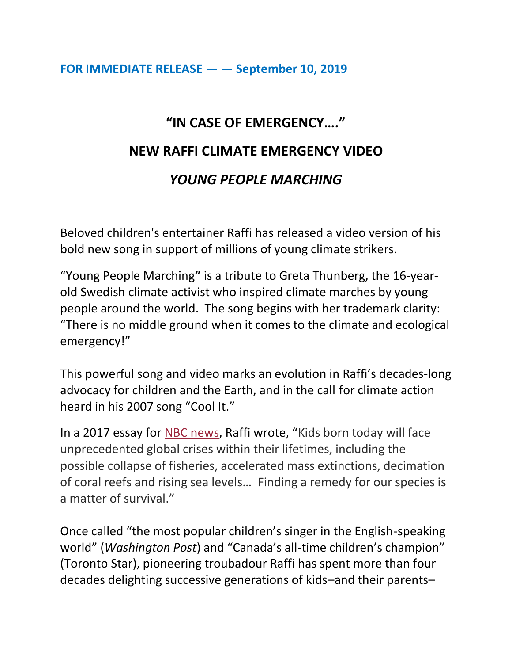## **FOR IMMEDIATE RELEASE — — September 10, 2019**

## **"IN CASE OF EMERGENCY…." NEW RAFFI CLIMATE EMERGENCY VIDEO** *YOUNG PEOPLE MARCHING*

Beloved children's entertainer Raffi has released a video version of his bold new song in support of millions of young climate strikers.

"Young People Marching**"** is a tribute to Greta Thunberg, the 16-yearold Swedish climate activist who inspired climate marches by young people around the world. The song begins with her trademark clarity: "There is no middle ground when it comes to the climate and ecological emergency!"

This powerful song and video marks an evolution in Raffi's decades-long advocacy for children and the Earth, and in the call for climate action heard in his 2007 song "Cool It."

In a 2017 essay for NBC [news](https://www.nbcnews.com/think/opinion/change-world-begin-building-one-s-good-children-ncna814421), Raffi wrote, "Kids born today will face unprecedented global crises within their lifetimes, including the possible collapse of fisheries, accelerated mass extinctions, decimation of coral reefs and rising sea levels… Finding a remedy for our species is a matter of survival."

Once called "the most popular children's singer in the English-speaking world" (*Washington Post*) and "Canada's all-time children's champion" (Toronto Star), pioneering troubadour Raffi has spent more than four decades delighting successive generations of kids–and their parents–